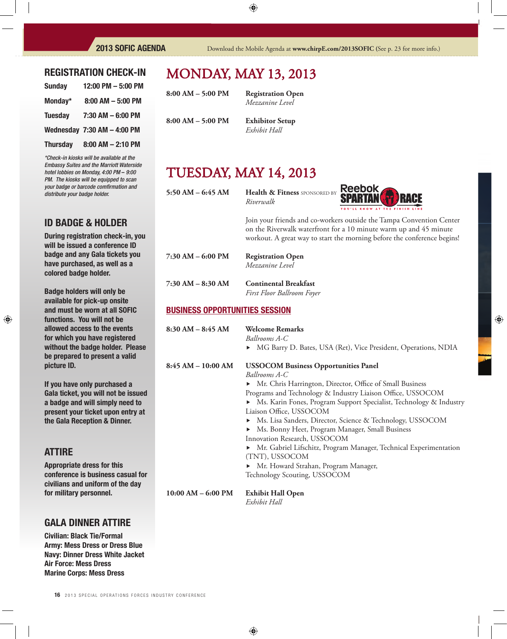### REGISTRATION CHECK-IN

| <b>Sunday</b>   | 12:00 PM - 5:00 PM              |
|-----------------|---------------------------------|
| Monday*         | $8:00$ AM $-5:00$ PM            |
| <b>Tuesday</b>  | $7:30$ AM $-6:00$ PM            |
|                 | Wednesday $7:30$ AM $-$ 4:00 PM |
| <b>Thursday</b> | $8:00$ AM $- 2:10$ PM           |

*\*Check-in kiosks will be available at the Embassy Suites and the Marriott Waterside hotel lobbies on Monday, 4:00 PM* – *9:00 PM. The kiosks will be equipped to scan your badge or barcode comfi rmation and distribute your badge holder.*

## ID BADGE & HOLDER

During registration check-in, you will be issued a conference ID badge and any Gala tickets you have purchased, as well as a colored badge holder.

Badge holders will only be available for pick-up onsite and must be worn at all SOFIC functions. You will not be allowed access to the events for which you have registered without the badge holder. Please be prepared to present a valid picture ID.

If you have only purchased a Gala ticket, you will not be issued a badge and will simply need to present your ticket upon entry at the Gala Reception & Dinner.

### ATTIRE

Appropriate dress for this conference is business casual for civilians and uniform of the day for military personnel.

### GALA DINNER ATTIRE

Civilian: Black Tie/Formal Army: Mess Dress or Dress Blue Navy: Dinner Dress White Jacket Air Force: Mess Dress Marine Corps: Mess Dress

## MONDAy, MAy 13, 2013

**8:00 AM – 5:00 PM Registration Open**

*Mezzanine Level*

**8:00 AM – 5:00 PM Exhibitor Setup**

*Exhibit Hall*

## TUESDAy, MAy 14, 2013

**5:50 AM – 6:45 AM Health & Fitness** SPONSORED By *Riverwalk*



 Join your friends and co-workers outside the Tampa Convention Center on the Riverwalk waterfront for a 10 minute warm up and 45 minute workout. A great way to start the morning before the conference begins!

**7:30 AM – 6:00 PM Registration Open** *Mezzanine Level* **7:30 AM – 8:30 AM Continental Breakfast**

*First Floor Ballroom Foyer*

### BUSINESS OPPORTUNITIES SESSION

| $8:30 \text{ AM} - 8:45 \text{ AM}$ | <b>Welcome Remarks</b><br>Ballrooms A-C<br>MG Barry D. Bates, USA (Ret), Vice President, Operations, NDIA                                                                                                                                                                                                                                                                                                                                                                                                                                                                                                          |
|-------------------------------------|--------------------------------------------------------------------------------------------------------------------------------------------------------------------------------------------------------------------------------------------------------------------------------------------------------------------------------------------------------------------------------------------------------------------------------------------------------------------------------------------------------------------------------------------------------------------------------------------------------------------|
| $8:45 AM - 10:00 AM$                | <b>USSOCOM Business Opportunities Panel</b><br>Ballrooms A-C<br>• Mr. Chris Harrington, Director, Office of Small Business<br>Programs and Technology & Industry Liaison Office, USSOCOM<br>• Ms. Karin Fones, Program Support Specialist, Technology & Industry<br>Liaison Office, USSOCOM<br>• Ms. Lisa Sanders, Director, Science & Technology, USSOCOM<br>• Ms. Bonny Heet, Program Manager, Small Business<br>Innovation Research, USSOCOM<br>▶ Mr. Gabriel Lifschitz, Program Manager, Technical Experimentation<br>(TNT), USSOCOM<br>• Mr. Howard Strahan, Program Manager,<br>Technology Scouting, USSOCOM |
| $10:00$ AM $-$ 6:00 PM              | <b>Exhibit Hall Open</b><br>Exhibit Hall                                                                                                                                                                                                                                                                                                                                                                                                                                                                                                                                                                           |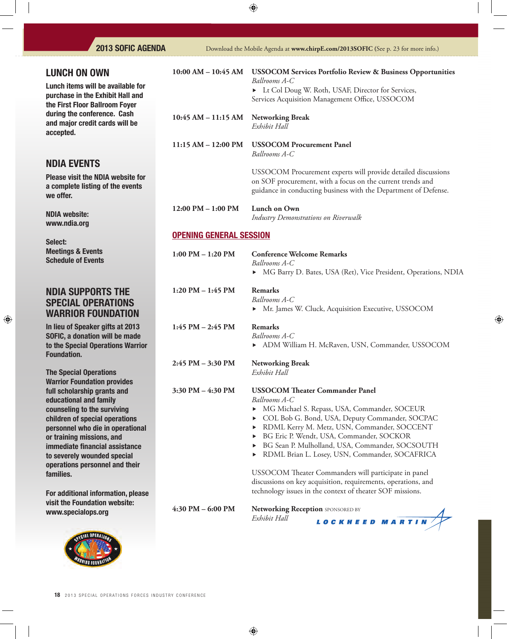| <b>LUNCH ON OWN</b>                                                                                                                                                                                                                                                                                                                                                            | $10:00$ AM $- 10:45$ AM        | <b>USSOCOM Services Portfolio Review &amp; Business Opportunities</b><br>Ballrooms A-C                                                                                                                                                                                                                                                                                                                                                                                                                                                                |  |
|--------------------------------------------------------------------------------------------------------------------------------------------------------------------------------------------------------------------------------------------------------------------------------------------------------------------------------------------------------------------------------|--------------------------------|-------------------------------------------------------------------------------------------------------------------------------------------------------------------------------------------------------------------------------------------------------------------------------------------------------------------------------------------------------------------------------------------------------------------------------------------------------------------------------------------------------------------------------------------------------|--|
| Lunch items will be available for<br>purchase in the Exhibit Hall and<br>the First Floor Ballroom Foyer                                                                                                                                                                                                                                                                        |                                | Lt Col Doug W. Roth, USAF, Director for Services,<br>Services Acquisition Management Office, USSOCOM                                                                                                                                                                                                                                                                                                                                                                                                                                                  |  |
| during the conference. Cash<br>and major credit cards will be<br>accepted.                                                                                                                                                                                                                                                                                                     | $10:45$ AM $-11:15$ AM         | <b>Networking Break</b><br>Exhibit Hall                                                                                                                                                                                                                                                                                                                                                                                                                                                                                                               |  |
|                                                                                                                                                                                                                                                                                                                                                                                | $11:15 AM - 12:00 PM$          | <b>USSOCOM Procurement Panel</b><br>Ballrooms A-C                                                                                                                                                                                                                                                                                                                                                                                                                                                                                                     |  |
| <b>NDIA EVENTS</b>                                                                                                                                                                                                                                                                                                                                                             |                                |                                                                                                                                                                                                                                                                                                                                                                                                                                                                                                                                                       |  |
| <b>Please visit the NDIA website for</b><br>a complete listing of the events<br>we offer.                                                                                                                                                                                                                                                                                      |                                | USSOCOM Procurement experts will provide detailed discussions<br>on SOF procurement, with a focus on the current trends and<br>guidance in conducting business with the Department of Defense.                                                                                                                                                                                                                                                                                                                                                        |  |
| <b>NDIA website:</b><br>www.ndia.org                                                                                                                                                                                                                                                                                                                                           | $12:00$ PM $- 1:00$ PM         | Lunch on Own<br>Industry Demonstrations on Riverwalk                                                                                                                                                                                                                                                                                                                                                                                                                                                                                                  |  |
| Select:                                                                                                                                                                                                                                                                                                                                                                        | <b>OPENING GENERAL SESSION</b> |                                                                                                                                                                                                                                                                                                                                                                                                                                                                                                                                                       |  |
| <b>Meetings &amp; Events</b><br><b>Schedule of Events</b>                                                                                                                                                                                                                                                                                                                      | $1:00$ PM $- 1:20$ PM          | <b>Conference Welcome Remarks</b><br>Ballrooms A-C<br>• MG Barry D. Bates, USA (Ret), Vice President, Operations, NDIA                                                                                                                                                                                                                                                                                                                                                                                                                                |  |
| NDIA SUPPORTS THE<br>SPECIAL OPERATIONS<br><b>WARRIOR FOUNDATION</b>                                                                                                                                                                                                                                                                                                           | $1:20$ PM $- 1:45$ PM          | <b>Remarks</b><br>Ballrooms A-C<br>• Mr. James W. Cluck, Acquisition Executive, USSOCOM                                                                                                                                                                                                                                                                                                                                                                                                                                                               |  |
| In lieu of Speaker gifts at 2013<br><b>SOFIC, a donation will be made</b><br>to the Special Operations Warrior<br><b>Foundation.</b>                                                                                                                                                                                                                                           | $1:45$ PM $- 2:45$ PM          | <b>Remarks</b><br>Ballrooms A-C<br>> ADM William H. McRaven, USN, Commander, USSOCOM                                                                                                                                                                                                                                                                                                                                                                                                                                                                  |  |
| <b>The Special Operations</b><br><b>Warrior Foundation provides</b>                                                                                                                                                                                                                                                                                                            | 2:45 PM - 3:30 PM              | <b>Networking Break</b><br>Exhibit Hall                                                                                                                                                                                                                                                                                                                                                                                                                                                                                                               |  |
| full scholarship grants and<br>educational and family<br>counseling to the surviving<br>children of special operations<br>personnel who die in operational<br>or training missions, and<br>immediate financial assistance<br>to severely wounded special<br>operations personnel and their<br>families.<br>For additional information, please<br>visit the Foundation website: | 3:30 PM – 4:30 PM              | <b>USSOCOM Theater Commander Panel</b><br>Ballrooms A-C<br>MG Michael S. Repass, USA, Commander, SOCEUR<br>COL Bob G. Bond, USA, Deputy Commander, SOCPAC<br>> RDML Kerry M. Metz, USN, Commander, SOCCENT<br>BG Eric P. Wendt, USA, Commander, SOCKOR<br>> BG Sean P. Mulholland, USA, Commander, SOCSOUTH<br>> RDML Brian L. Losey, USN, Commander, SOCAFRICA<br>USSOCOM Theater Commanders will participate in panel<br>discussions on key acquisition, requirements, operations, and<br>technology issues in the context of theater SOF missions. |  |
| www.specialops.org                                                                                                                                                                                                                                                                                                                                                             | 4:30 PM - 6:00 PM              | Networking Reception SPONSORED BY<br>Exhibit Hall<br>LOCKHEED MARTIN                                                                                                                                                                                                                                                                                                                                                                                                                                                                                  |  |
|                                                                                                                                                                                                                                                                                                                                                                                |                                |                                                                                                                                                                                                                                                                                                                                                                                                                                                                                                                                                       |  |



*RIOR FOUNDAL*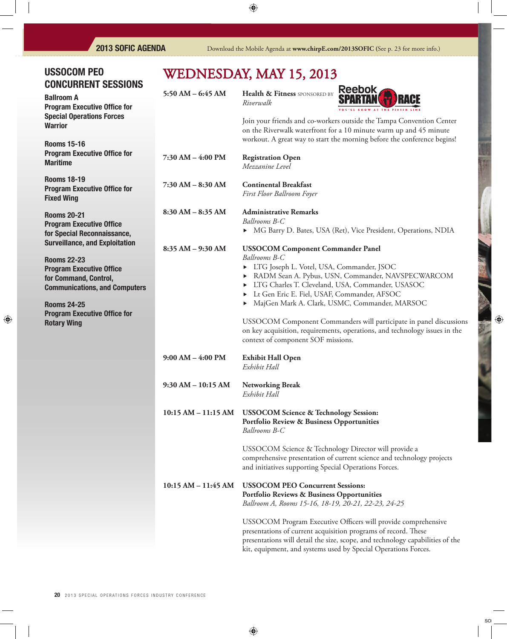## USSOCOM PEO CONCURRENT SESSIONS

Ballroom A Program Executive Office for Special Operations Forces **Warrior** 

Rooms 15-16 **Program Executive Office for** Maritime

Rooms 18-19 **Program Executive Office for** Fixed Wing

Rooms 20-21 **Program Executive Office** for Special Reconnaissance, Surveillance, and Exploitation

Rooms 22-23 **Program Executive Office** for Command, Control, Communications, and Computers

Rooms 24-25 **Program Executive Office for** Rotary Wing

# WEDNESDAY, MAY 15, 2013

| 5:50 AM $-$ 6:45 AM  | Health & Fitness SPONSORED BY<br>Riverwalk                                                                                                        | <b>Reebok</b><br><b>SPARTAN</b> |
|----------------------|---------------------------------------------------------------------------------------------------------------------------------------------------|---------------------------------|
|                      | Join your friends and co-workers outside the T<br>on the Riverwalk waterfront for a 10 minute w<br>workout. A great way to start the morning befo |                                 |
| 7:30 AM - 4:00 PM    | <b>Registration Open</b><br>Mezzanine Level                                                                                                       |                                 |
| $7:30$ AM $-8:30$ AM | <b>Continental Breakfast</b><br>First Floor Ballroom Foyer                                                                                        |                                 |
| $8:30 AM - 8:35 AM$  | <b>Administrative Remarks</b><br>Ballrooms B-C<br>• MG Barry D. Bates, USA (Ret), Vice Presion                                                    |                                 |
| $8:35 AM - 9:30 AM$  | <b>USSOCOM Component Commander Panel</b>                                                                                                          |                                 |



) in your friends and co-workers outside the Tampa Convention Center n the Riverwalk waterfront for a 10 minute warm up and 45 minute orkout. A great way to start the morning before the conference begins!

## *Ballrooms B-C*

MG Barry D. Bates, USA (Ret), Vice President, Operations, NDIA

*Ballrooms B-C*

- LTG Joseph L. Votel, USA, Commander, JSOC
- RADM Sean A. Pybus, USN, Commander, NAVSPECWARCOM
- LTG Charles T. Cleveland, USA, Commander, USASOC
- Lt Gen Eric E. Fiel, USAF, Commander, AFSOC
- MajGen Mark A. Clark, USMC, Commander, MARSOC

 USSOCOM Component Commanders will participate in panel discussions on key acquisition, requirements, operations, and technology issues in the context of component SOF missions.

- **9:00 AM 4:00 PM Exhibit Hall Open** *Exhibit Hall*
- **9:30 AM 10:15 AM Networking Break** *Exhibit Hall*
- **10:15 AM 11:15 AM USSOCOM Science & Technology Session: Portfolio Review & Business Opportunities** *Ballrooms B-C*

 USSOCOM Science & Technology Director will provide a comprehensive presentation of current science and technology projects and initiatives supporting Special Operations Forces.

**10:15 AM – 11:45 AM USSOCOM PEO Concurrent Sessions: Portfolio Reviews & Business Opportunities**  *Ballroom A, Rooms 15-16, 18-19, 20-21, 22-23, 24-25*

> USSOCOM Program Executive Officers will provide comprehensive presentations of current acquisition programs of record. These presentations will detail the size, scope, and technology capabilities of the kit, equipment, and systems used by Special Operations Forces.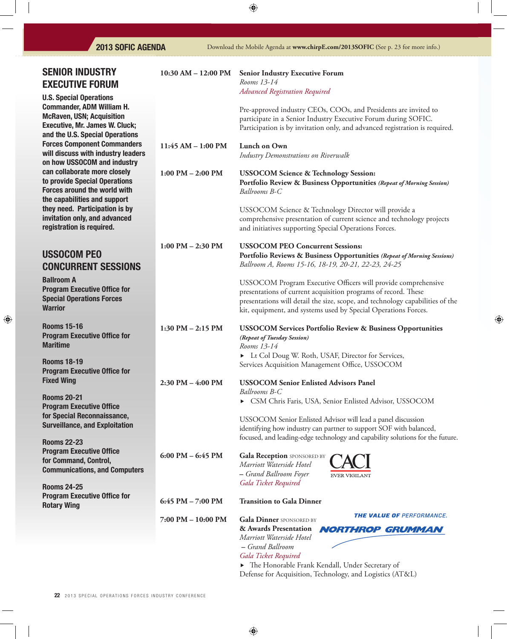## **2013 SOFIC AGENDA**

| <b>SENIOR INDUSTRY</b><br><b>EXECUTIVE FORUM</b>                                                                                                                                                        | 10:30 AM $-$ 12:00 PM | <b>Senior Industry Executive Forum</b><br>Rooms 13-14                                                                                                                                                                                                                              |
|---------------------------------------------------------------------------------------------------------------------------------------------------------------------------------------------------------|-----------------------|------------------------------------------------------------------------------------------------------------------------------------------------------------------------------------------------------------------------------------------------------------------------------------|
| <b>U.S. Special Operations</b><br><b>Commander, ADM William H.</b><br><b>McRaven, USN; Acquisition</b><br><b>Executive, Mr. James W. Cluck;</b><br>and the U.S. Special Operations                      |                       | <b>Advanced Registration Required</b><br>Pre-approved industry CEOs, COOs, and Presidents are invited to<br>participate in a Senior Industry Executive Forum during SOFIC.<br>Participation is by invitation only, and advanced registration is required.                          |
| <b>Forces Component Commanders</b><br>will discuss with industry leaders<br>on how USSOCOM and industry                                                                                                 | 11:45 AM - 1:00 PM    | Lunch on Own<br>Industry Demonstrations on Riverwalk                                                                                                                                                                                                                               |
| can collaborate more closely<br>to provide Special Operations<br><b>Forces around the world with</b><br>the capabilities and support<br>they need. Participation is by<br>invitation only, and advanced | $1:00$ PM $- 2:00$ PM | <b>USSOCOM Science &amp; Technology Session:</b><br>Portfolio Review & Business Opportunities (Repeat of Morning Session)<br>Ballrooms B-C<br>USSOCOM Science & Technology Director will provide a<br>comprehensive presentation of current science and technology projects        |
| registration is required.                                                                                                                                                                               | $1:00$ PM $- 2:30$ PM | and initiatives supporting Special Operations Forces.<br><b>USSOCOM PEO Concurrent Sessions:</b>                                                                                                                                                                                   |
| <b>USSOCOM PEO</b><br><b>CONCURRENT SESSIONS</b>                                                                                                                                                        |                       | Portfolio Reviews & Business Opportunities (Repeat of Morning Sessions)<br>Ballroom A, Rooms 15-16, 18-19, 20-21, 22-23, 24-25                                                                                                                                                     |
| <b>Ballroom A</b><br><b>Program Executive Office for</b><br><b>Special Operations Forces</b><br><b>Warrior</b>                                                                                          |                       | USSOCOM Program Executive Officers will provide comprehensive<br>presentations of current acquisition programs of record. These<br>presentations will detail the size, scope, and technology capabilities of the<br>kit, equipment, and systems used by Special Operations Forces. |
| <b>Rooms 15-16</b><br><b>Program Executive Office for</b><br><b>Maritime</b>                                                                                                                            | 1:30 PM $-$ 2:15 PM   | <b>USSOCOM Services Portfolio Review &amp; Business Opportunities</b><br>(Repeat of Tuesday Session)<br>Rooms 13-14                                                                                                                                                                |
| <b>Rooms 18-19</b><br><b>Program Executive Office for</b><br><b>Fixed Wing</b>                                                                                                                          | $2:30$ PM $-4:00$ PM  | Lt Col Doug W. Roth, USAF, Director for Services,<br>Services Acquisition Management Office, USSOCOM<br><b>USSOCOM Senior Enlisted Advisors Panel</b>                                                                                                                              |
| <b>Rooms 20-21</b><br><b>Program Executive Office</b>                                                                                                                                                   |                       | Ballrooms B-C<br>CSM Chris Faris, USA, Senior Enlisted Advisor, USSOCOM                                                                                                                                                                                                            |
| for Special Reconnaissance,<br><b>Surveillance, and Exploitation</b>                                                                                                                                    |                       | USSOCOM Senior Enlisted Advisor will lead a panel discussion<br>identifying how industry can partner to support SOF with balanced,<br>focused, and leading-edge technology and capability solutions for the future.                                                                |
| <b>Rooms 22-23</b><br><b>Program Executive Office</b><br>for Command, Control,<br><b>Communications, and Computers</b>                                                                                  | $6:00$ PM $-6:45$ PM  | <b>Gala Reception SPONSORED BY</b><br>Marriott Waterside Hotel<br>- Grand Ballroom Foyer<br><b>EVER VIGILANT</b>                                                                                                                                                                   |
| <b>Rooms 24-25</b><br><b>Program Executive Office for</b><br><b>Rotary Wing</b>                                                                                                                         | $6:45$ PM $- 7:00$ PM | Gala Ticket Required<br><b>Transition to Gala Dinner</b>                                                                                                                                                                                                                           |
|                                                                                                                                                                                                         | 7:00 PM - 10:00 PM    | THE VALUE OF PERFORMANCE.<br><b>Gala Dinner</b> SPONSORED BY<br>& Awards Presentation<br><b>NORTHROP GRUMMAN</b><br>Marriott Waterside Hotel<br>- Grand Ballroom<br>Gala Ticket Required                                                                                           |

**•** The Honorable Frank Kendall, Under Secretary of Defense for Acquisition, Technology, and Logistics (AT&L)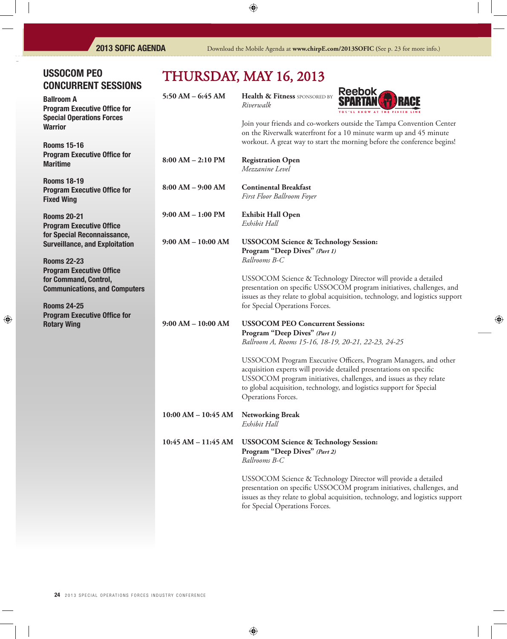## USSOCOM PEO CONCURRENT SESSIONS

Ballroom A Program Executive Office for Special Operations Forces **Warrior** 

Rooms 15-16 Program Executive Office for **Maritime** 

Rooms 18-19 Program Executive Office for Fixed Wing

Rooms 20-21 **Program Executive Office** for Special Reconnaissance, Surveillance, and Exploitation

Rooms 22-23 **Program Executive Office** for Command, Control, Communications, and Computers

Rooms 24-25 Program Executive Office for Rotary Wing

# 2013

|                         | THURSDAY, MAY 16, 2013                                                                                                          |                                                                                                                                                                                                                                                                                      |
|-------------------------|---------------------------------------------------------------------------------------------------------------------------------|--------------------------------------------------------------------------------------------------------------------------------------------------------------------------------------------------------------------------------------------------------------------------------------|
| $5:50$ AM $-$ 6:45 AM   | Health & Fitness SPONSORED BY<br>Riverwalk                                                                                      | <b>Reebok</b><br>YOU'LL KNOW AT THE FINISH                                                                                                                                                                                                                                           |
|                         |                                                                                                                                 | Join your friends and co-workers outside the Tampa Convention Center<br>on the Riverwalk waterfront for a 10 minute warm up and 45 minute<br>workout. A great way to start the morning before the conference begins!                                                                 |
| $8:00 AM - 2:10 PM$     | <b>Registration Open</b><br>Mezzanine Level                                                                                     |                                                                                                                                                                                                                                                                                      |
| $8:00 AM - 9:00 AM$     | <b>Continental Breakfast</b><br>First Floor Ballroom Foyer                                                                      |                                                                                                                                                                                                                                                                                      |
| $9:00$ AM $-1:00$ PM    | <b>Exhibit Hall Open</b><br>Exhibit Hall                                                                                        |                                                                                                                                                                                                                                                                                      |
| $9:00 AM - 10:00 AM$    | <b>USSOCOM Science &amp; Technology Session:</b><br>Program "Deep Dives" (Part 1)<br>Ballrooms B-C                              |                                                                                                                                                                                                                                                                                      |
|                         | for Special Operations Forces.                                                                                                  | USSOCOM Science & Technology Director will provide a detailed<br>presentation on specific USSOCOM program initiatives, challenges, and<br>issues as they relate to global acquisition, technology, and logistics suppor                                                              |
| $9:00 AM - 10:00 AM$    | <b>USSOCOM PEO Concurrent Sessions:</b><br>Program "Deep Dives" (Part 1)<br>Ballroom A, Rooms 15-16, 18-19, 20-21, 22-23, 24-25 |                                                                                                                                                                                                                                                                                      |
|                         | Operations Forces.                                                                                                              | USSOCOM Program Executive Officers, Program Managers, and other<br>acquisition experts will provide detailed presentations on specific<br>USSOCOM program initiatives, challenges, and issues as they relate<br>to global acquisition, technology, and logistics support for Special |
| $10:00$ AM $- 10:45$ AM | <b>Networking Break</b><br>Exhibit Hall                                                                                         |                                                                                                                                                                                                                                                                                      |
|                         |                                                                                                                                 |                                                                                                                                                                                                                                                                                      |

**10:45 AM – 11:45 AM USSOCOM Science & Technology Session: Program "Deep Dives"** *(Part 2) Ballrooms B-C*

> USSOCOM Science & Technology Director will provide a detailed presentation on specific USSOCOM program initiatives, challenges, and issues as they relate to global acquisition, technology, and logistics support for Special Operations Forces.